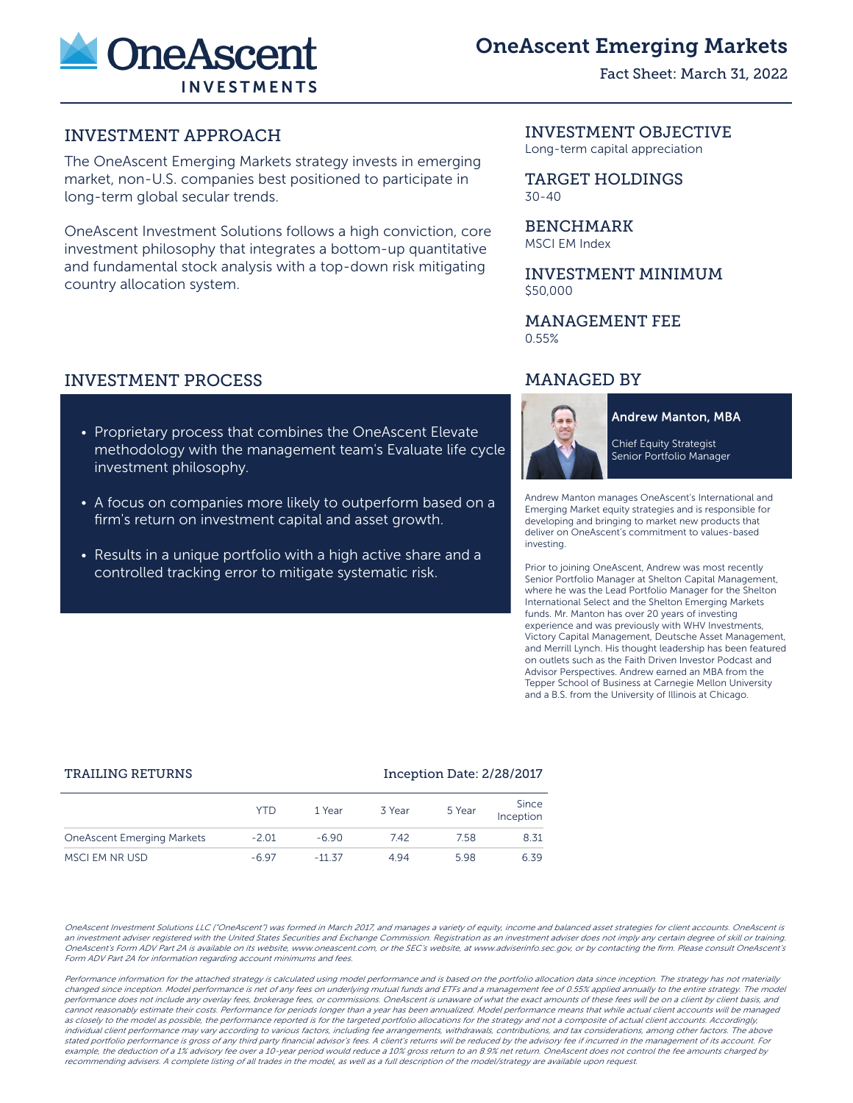

# OneAscent Emerging Markets

Fact Sheet: March 31, 2022

# INVESTMENT APPROACH

The OneAscent Emerging Markets strategy invests in emerging market, non-U.S. companies best positioned to participate in long-term global secular trends.

OneAscent Investment Solutions follows a high conviction, core investment philosophy that integrates a bottom-up quantitative and fundamental stock analysis with a top-down risk mitigating country allocation system.

# INVESTMENT PROCESS

- Proprietary process that combines the OneAscent Elevate methodology with the management team's Evaluate life cycle investment philosophy.
- A focus on companies more likely to outperform based on a firm's return on investment capital and asset growth.
- Results in a unique portfolio with a high active share and a controlled tracking error to mitigate systematic risk.

### INVESTMENT OBJECTIVE

Long-term capital appreciation

TARGET HOLDINGS 30-40

BENCHMARK MSCI EM Index

INVESTMENT MINIMUM \$50,000

### MANAGEMENT FEE 0.55%

# MANAGED BY



**Andrew Manton, MBA** 

Chief Equity Strategist Senior Portfolio Manager

Andrew Manton manages OneAscent's International and Emerging Market equity strategies and is responsible for developing and bringing to market new products that deliver on OneAscent's commitment to values-based investing.

Prior to joining OneAscent, Andrew was most recently Senior Portfolio Manager at Shelton Capital Management, where he was the Lead Portfolio Manager for the Shelton International Select and the Shelton Emerging Markets funds. Mr. Manton has over 20 years of investing experience and was previously with WHV Investments, Victory Capital Management, Deutsche Asset Management, and Merrill Lynch. His thought leadership has been featured on outlets such as the Faith Driven Investor Podcast and Advisor Perspectives. Andrew earned an MBA from the Tepper School of Business at Carnegie Mellon University and a B.S. from the University of Illinois at Chicago.

### TRAILING RETURNS **Inception Date: 2/28/2017**

|                                   | YTD     | 1 Year   | 3 Year | 5 Year | Since<br>Inception |
|-----------------------------------|---------|----------|--------|--------|--------------------|
| <b>OneAscent Emerging Markets</b> | $-2.01$ | $-6.90$  | 7.42   | 7.58   | 8.31               |
| MSCI EM NR USD                    | $-697$  | $-11.37$ | 4.94   | 5.98   | 6.39               |

OneAscent Investment Solutions LLC ("OneAscent") was formed in March 2017, and manages a variety of equity, income and balanced asset strategies for client accounts. OneAscent is an investment adviser registered with the United States Securities and Exchange Commission. Registration as an investment adviser does not imply any certain degree of skill or training. OneAscent's Form ADV Part 2A is available on its website, www.oneascent.com, or the SEC's website, at www.adviserinfo.sec.gov, or by contacting the firm. Please consult OneAscent's Form ADV Part 2A for information regarding account minimums and fees.

Performance information for the attached strategy is calculated using model performance and is based on the portfolio allocation data since inception. The strategy has not materially changed since inception. Model performance is net of any fees on underlying mutual funds and ETFs and a management fee of 0.55% applied annually to the entire strategy. The model performance does not include any overlay fees, brokerage fees, or commissions. OneAscent is unaware of what the exact amounts of these fees will be on a client by client basis, and cannot reasonably estimate their costs. Performance for periods longer than a year has been annualized. Model performance means that while actual client accounts will be managed as closely to the model as possible, the performance reported is for the targeted portfolio allocations for the strategy and not a composite of actual client accounts. Accordingly, individual client performance may vary according to various factors, including fee arrangements, withdrawals, contributions, and tax considerations, among other factors. The above stated portfolio performance is gross of any third party financial advisor's fees. A client's returns will be reduced by the advisory fee if incurred in the management of its account. For example, the deduction of a 1% advisory fee over a 10-year period would reduce a 10% gross return to an 8.9% net return. OneAscent does not control the fee amounts charged by recommending advisers. A complete listing of all trades in the model, as well as a full description of the model/strategy are available upon request.